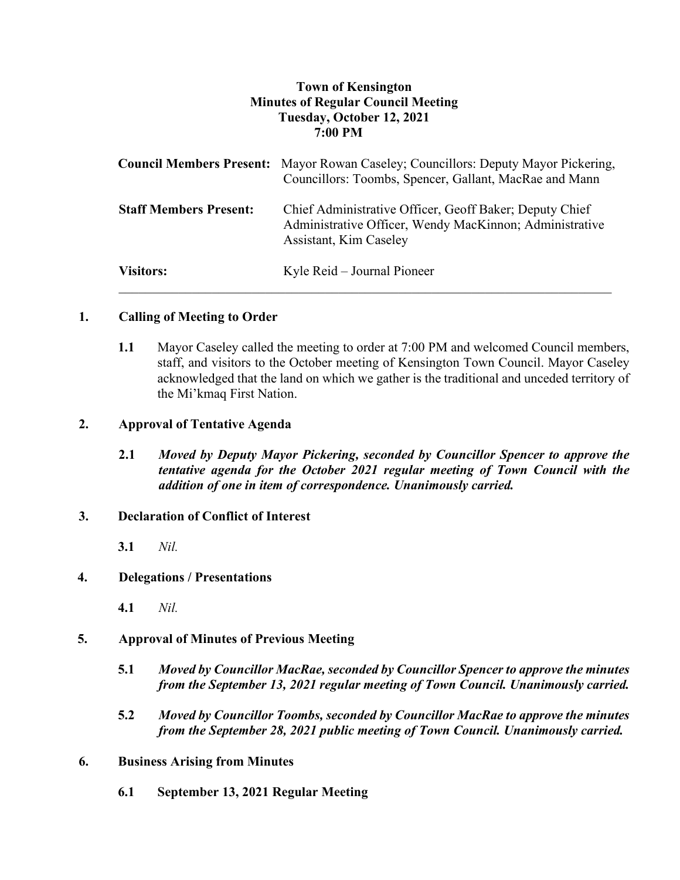# **Town of Kensington Minutes of Regular Council Meeting Tuesday, October 12, 2021 7:00 PM**

|                               | <b>Council Members Present:</b> Mayor Rowan Caseley; Councillors: Deputy Mayor Pickering,<br>Councillors: Toombs, Spencer, Gallant, MacRae and Mann |
|-------------------------------|-----------------------------------------------------------------------------------------------------------------------------------------------------|
| <b>Staff Members Present:</b> | Chief Administrative Officer, Geoff Baker; Deputy Chief<br>Administrative Officer, Wendy MacKinnon; Administrative<br>Assistant, Kim Caseley        |
| <b>Visitors:</b>              | Kyle Reid – Journal Pioneer                                                                                                                         |

### **1. Calling of Meeting to Order**

**1.1** Mayor Caseley called the meeting to order at 7:00 PM and welcomed Council members, staff, and visitors to the October meeting of Kensington Town Council. Mayor Caseley acknowledged that the land on which we gather is the traditional and unceded territory of the Mi'kmaq First Nation.

### **2. Approval of Tentative Agenda**

**2.1** *Moved by Deputy Mayor Pickering, seconded by Councillor Spencer to approve the tentative agenda for the October 2021 regular meeting of Town Council with the addition of one in item of correspondence. Unanimously carried.*

#### **3. Declaration of Conflict of Interest**

**3.1** *Nil.*

## **4. Delegations / Presentations**

**4.1** *Nil.*

## **5. Approval of Minutes of Previous Meeting**

- **5.1** *Moved by Councillor MacRae, seconded by Councillor Spencer to approve the minutes from the September 13, 2021 regular meeting of Town Council. Unanimously carried.*
- **5.2** *Moved by Councillor Toombs, seconded by Councillor MacRae to approve the minutes from the September 28, 2021 public meeting of Town Council. Unanimously carried.*

#### **6. Business Arising from Minutes**

**6.1 September 13, 2021 Regular Meeting**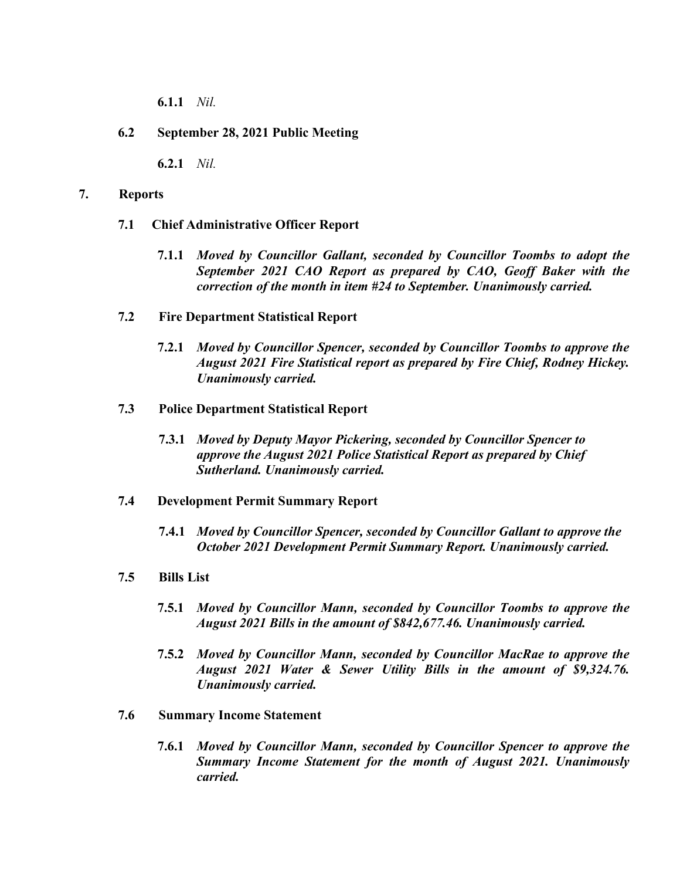**6.1.1** *Nil.*

### **6.2 September 28, 2021 Public Meeting**

**6.2.1** *Nil.*

#### **7. Reports**

- **7.1 Chief Administrative Officer Report**
	- **7.1.1** *Moved by Councillor Gallant, seconded by Councillor Toombs to adopt the September 2021 CAO Report as prepared by CAO, Geoff Baker with the correction of the month in item #24 to September. Unanimously carried.*
- **7.2 Fire Department Statistical Report**
	- **7.2.1** *Moved by Councillor Spencer, seconded by Councillor Toombs to approve the August 2021 Fire Statistical report as prepared by Fire Chief, Rodney Hickey. Unanimously carried.*
- **7.3 Police Department Statistical Report**
	- **7.3.1** *Moved by Deputy Mayor Pickering, seconded by Councillor Spencer to approve the August 2021 Police Statistical Report as prepared by Chief Sutherland. Unanimously carried.*

#### **7.4 Development Permit Summary Report**

- **7.4.1** *Moved by Councillor Spencer, seconded by Councillor Gallant to approve the October 2021 Development Permit Summary Report. Unanimously carried.*
- **7.5 Bills List** 
	- **7.5.1** *Moved by Councillor Mann, seconded by Councillor Toombs to approve the August 2021 Bills in the amount of \$842,677.46. Unanimously carried.*
	- **7.5.2** *Moved by Councillor Mann, seconded by Councillor MacRae to approve the August 2021 Water & Sewer Utility Bills in the amount of \$9,324.76. Unanimously carried.*
- **7.6 Summary Income Statement**
	- **7.6.1** *Moved by Councillor Mann, seconded by Councillor Spencer to approve the Summary Income Statement for the month of August 2021. Unanimously carried.*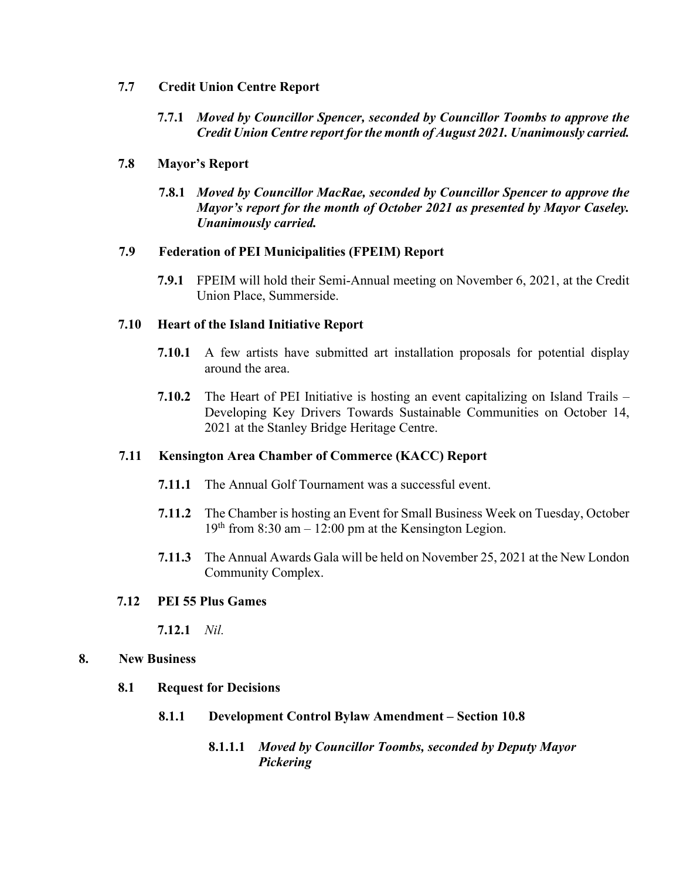#### **7.7 Credit Union Centre Report**

**7.7.1** *Moved by Councillor Spencer, seconded by Councillor Toombs to approve the Credit Union Centre report for the month of August 2021. Unanimously carried.*

### **7.8 Mayor's Report**

**7.8.1** *Moved by Councillor MacRae, seconded by Councillor Spencer to approve the Mayor's report for the month of October 2021 as presented by Mayor Caseley. Unanimously carried.*

#### **7.9 Federation of PEI Municipalities (FPEIM) Report**

**7.9.1** FPEIM will hold their Semi-Annual meeting on November 6, 2021, at the Credit Union Place, Summerside.

### **7.10 Heart of the Island Initiative Report**

- **7.10.1** A few artists have submitted art installation proposals for potential display around the area.
- **7.10.2** The Heart of PEI Initiative is hosting an event capitalizing on Island Trails Developing Key Drivers Towards Sustainable Communities on October 14, 2021 at the Stanley Bridge Heritage Centre.

#### **7.11 Kensington Area Chamber of Commerce (KACC) Report**

- **7.11.1** The Annual Golf Tournament was a successful event.
- **7.11.2** The Chamber is hosting an Event for Small Business Week on Tuesday, October  $19<sup>th</sup>$  from 8:30 am – 12:00 pm at the Kensington Legion.
- **7.11.3** The Annual Awards Gala will be held on November 25, 2021 at the New London Community Complex.

## **7.12 PEI 55 Plus Games**

**7.12.1** *Nil.*

#### **8. New Business**

- **8.1 Request for Decisions**
	- **8.1.1 Development Control Bylaw Amendment – Section 10.8**

## **8.1.1.1** *Moved by Councillor Toombs, seconded by Deputy Mayor Pickering*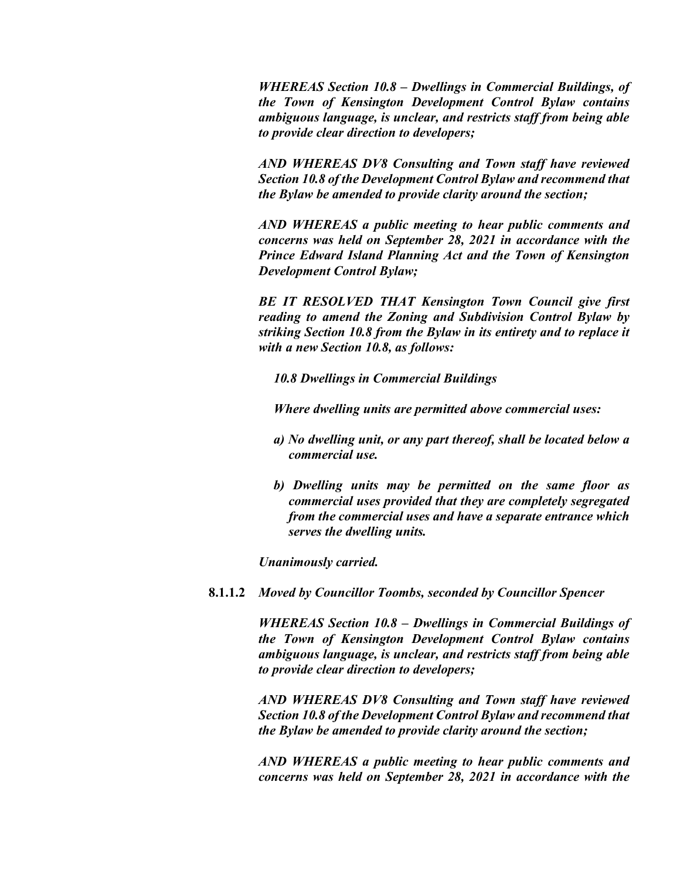*WHEREAS Section 10.8 – Dwellings in Commercial Buildings, of the Town of Kensington Development Control Bylaw contains ambiguous language, is unclear, and restricts staff from being able to provide clear direction to developers;*

*AND WHEREAS DV8 Consulting and Town staff have reviewed Section 10.8 of the Development Control Bylaw and recommend that the Bylaw be amended to provide clarity around the section;*

*AND WHEREAS a public meeting to hear public comments and concerns was held on September 28, 2021 in accordance with the Prince Edward Island Planning Act and the Town of Kensington Development Control Bylaw;*

*BE IT RESOLVED THAT Kensington Town Council give first reading to amend the Zoning and Subdivision Control Bylaw by striking Section 10.8 from the Bylaw in its entirety and to replace it with a new Section 10.8, as follows:*

*10.8 Dwellings in Commercial Buildings*

*Where dwelling units are permitted above commercial uses:*

- *a) No dwelling unit, or any part thereof, shall be located below a commercial use.*
- *b) Dwelling units may be permitted on the same floor as commercial uses provided that they are completely segregated from the commercial uses and have a separate entrance which serves the dwelling units.*

*Unanimously carried.* 

**8.1.1.2** *Moved by Councillor Toombs, seconded by Councillor Spencer*

*WHEREAS Section 10.8 – Dwellings in Commercial Buildings of the Town of Kensington Development Control Bylaw contains ambiguous language, is unclear, and restricts staff from being able to provide clear direction to developers;*

*AND WHEREAS DV8 Consulting and Town staff have reviewed Section 10.8 of the Development Control Bylaw and recommend that the Bylaw be amended to provide clarity around the section;*

*AND WHEREAS a public meeting to hear public comments and concerns was held on September 28, 2021 in accordance with the*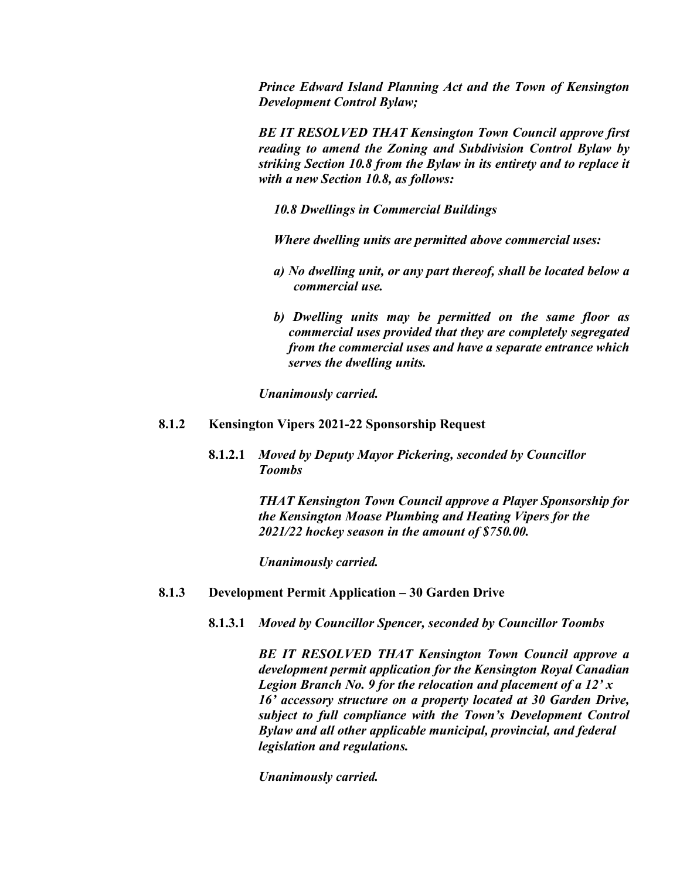*Prince Edward Island Planning Act and the Town of Kensington Development Control Bylaw;*

*BE IT RESOLVED THAT Kensington Town Council approve first reading to amend the Zoning and Subdivision Control Bylaw by striking Section 10.8 from the Bylaw in its entirety and to replace it with a new Section 10.8, as follows:*

*10.8 Dwellings in Commercial Buildings*

*Where dwelling units are permitted above commercial uses:*

- *a) No dwelling unit, or any part thereof, shall be located below a commercial use.*
- *b) Dwelling units may be permitted on the same floor as commercial uses provided that they are completely segregated from the commercial uses and have a separate entrance which serves the dwelling units.*

*Unanimously carried.*

#### **8.1.2 Kensington Vipers 2021-22 Sponsorship Request**

**8.1.2.1** *Moved by Deputy Mayor Pickering, seconded by Councillor Toombs*

> *THAT Kensington Town Council approve a Player Sponsorship for the Kensington Moase Plumbing and Heating Vipers for the 2021/22 hockey season in the amount of \$750.00.*

*Unanimously carried.*

## **8.1.3 Development Permit Application – 30 Garden Drive**

**8.1.3.1** *Moved by Councillor Spencer, seconded by Councillor Toombs*

*BE IT RESOLVED THAT Kensington Town Council approve a development permit application for the Kensington Royal Canadian Legion Branch No. 9 for the relocation and placement of a 12' x 16' accessory structure on a property located at 30 Garden Drive, subject to full compliance with the Town's Development Control Bylaw and all other applicable municipal, provincial, and federal legislation and regulations.*

*Unanimously carried.*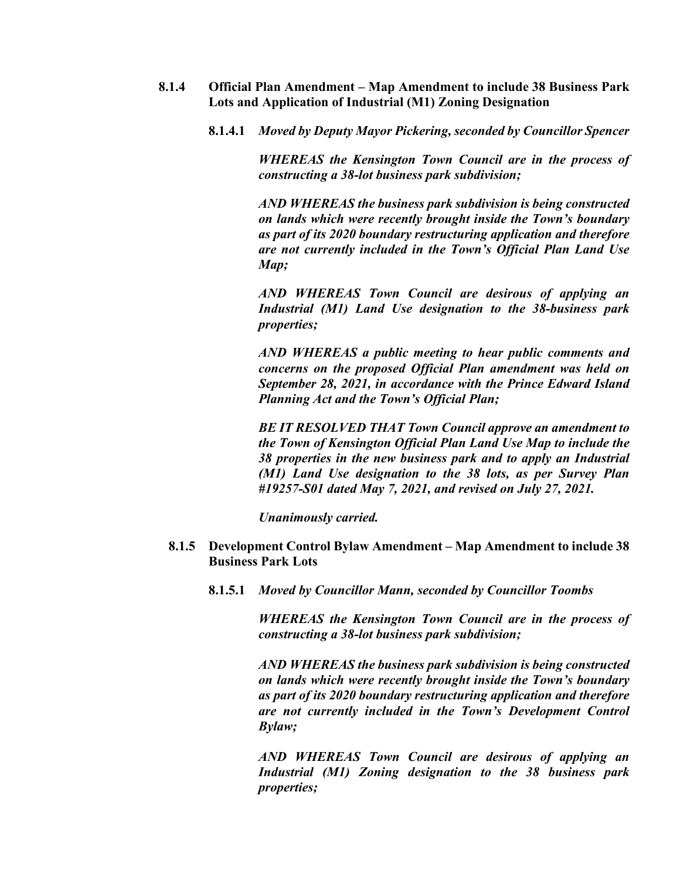- **8.1.4 Official Plan Amendment – Map Amendment to include 38 Business Park Lots and Application of Industrial (M1) Zoning Designation**
	- **8.1.4.1** *Moved by Deputy Mayor Pickering, seconded by Councillor Spencer*

*WHEREAS the Kensington Town Council are in the process of constructing a 38-lot business park subdivision;*

*AND WHEREAS the business park subdivision is being constructed on lands which were recently brought inside the Town's boundary as part of its 2020 boundary restructuring application and therefore are not currently included in the Town's Official Plan Land Use Map;*

*AND WHEREAS Town Council are desirous of applying an Industrial (M1) Land Use designation to the 38-business park properties;*

*AND WHEREAS a public meeting to hear public comments and concerns on the proposed Official Plan amendment was held on September 28, 2021, in accordance with the Prince Edward Island Planning Act and the Town's Official Plan;*

*BE IT RESOLVED THAT Town Council approve an amendment to the Town of Kensington Official Plan Land Use Map to include the 38 properties in the new business park and to apply an Industrial (M1) Land Use designation to the 38 lots, as per Survey Plan #19257-S01 dated May 7, 2021, and revised on July 27, 2021.* 

*Unanimously carried.* 

- **8.1.5 Development Control Bylaw Amendment – Map Amendment to include 38 Business Park Lots**
	- **8.1.5.1** *Moved by Councillor Mann, seconded by Councillor Toombs*

*WHEREAS the Kensington Town Council are in the process of constructing a 38-lot business park subdivision;*

*AND WHEREAS the business park subdivision is being constructed on lands which were recently brought inside the Town's boundary as part of its 2020 boundary restructuring application and therefore are not currently included in the Town's Development Control Bylaw;*

*AND WHEREAS Town Council are desirous of applying an Industrial (M1) Zoning designation to the 38 business park properties;*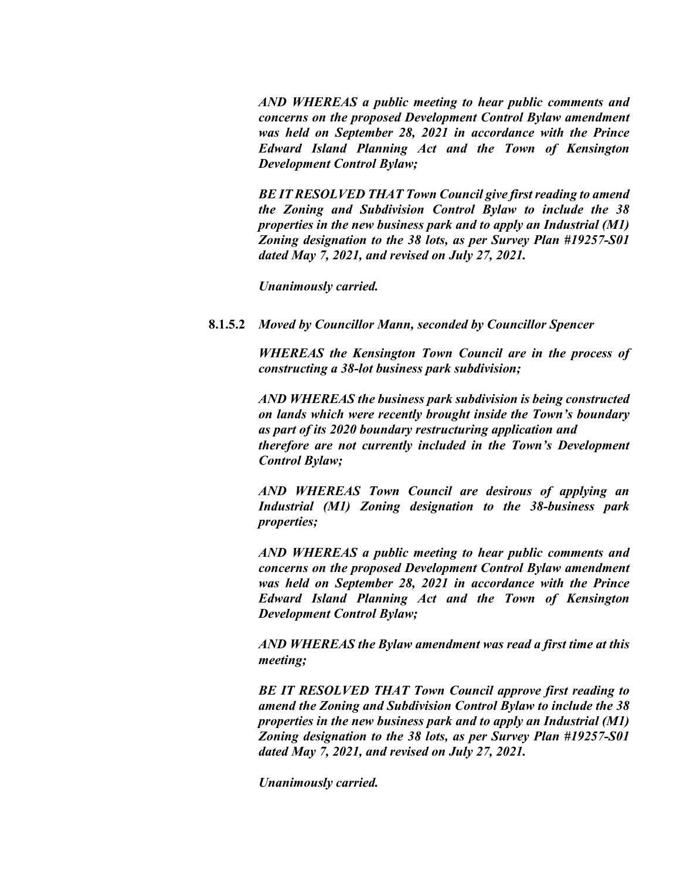*AND WHEREAS a public meeting to hear public comments and concerns on the proposed Development Control Bylaw amendment was held on September 28, 2021 in accordance with the Prince Edward Island Planning Act and the Town of Kensington Development Control Bylaw;*

*BE IT RESOLVED THAT Town Council give first reading to amend the Zoning and Subdivision Control Bylaw to include the 38 properties in the new business park and to apply an Industrial (M1) Zoning designation to the 38 lots, as per Survey Plan #19257-S01 dated May 7, 2021, and revised on July 27, 2021.*

*Unanimously carried.*

**8.1.5.2** *Moved by Councillor Mann, seconded by Councillor Spencer*

*WHEREAS the Kensington Town Council are in the process of constructing a 38-lot business park subdivision;*

*AND WHEREAS the business park subdivision is being constructed on lands which were recently brought inside the Town's boundary as part of its 2020 boundary restructuring application and therefore are not currently included in the Town's Development Control Bylaw;*

*AND WHEREAS Town Council are desirous of applying an Industrial (M1) Zoning designation to the 38-business park properties;*

*AND WHEREAS a public meeting to hear public comments and concerns on the proposed Development Control Bylaw amendment was held on September 28, 2021 in accordance with the Prince Edward Island Planning Act and the Town of Kensington Development Control Bylaw;*

*AND WHEREAS the Bylaw amendment was read a first time at this meeting;*

*BE IT RESOLVED THAT Town Council approve first reading to amend the Zoning and Subdivision Control Bylaw to include the 38 properties in the new business park and to apply an Industrial (M1) Zoning designation to the 38 lots, as per Survey Plan #19257-S01 dated May 7, 2021, and revised on July 27, 2021.*

*Unanimously carried.*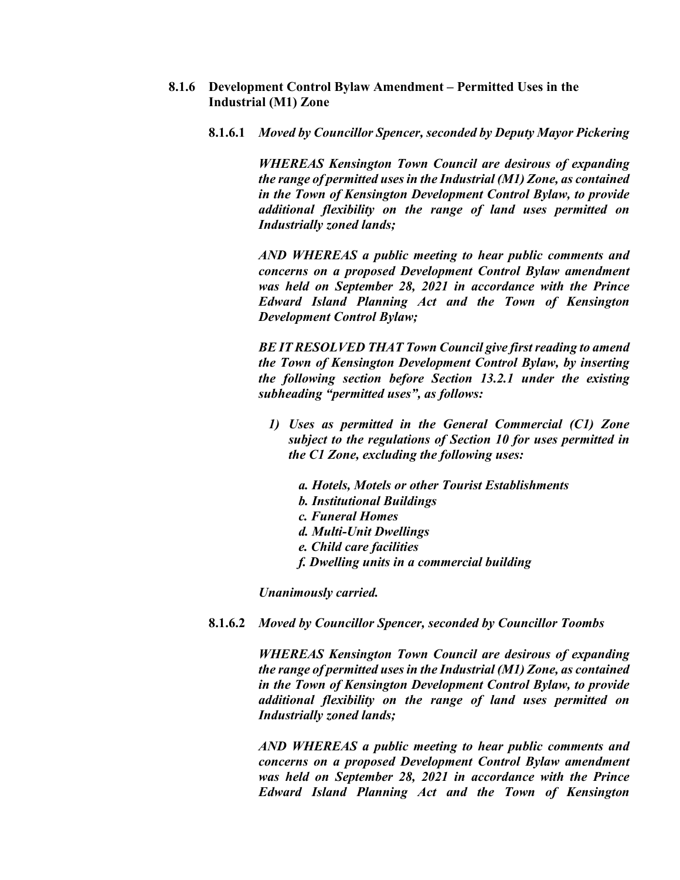- **8.1.6 Development Control Bylaw Amendment – Permitted Uses in the Industrial (M1) Zone**
	- **8.1.6.1** *Moved by Councillor Spencer, seconded by Deputy Mayor Pickering*

*WHEREAS Kensington Town Council are desirous of expanding the range of permitted uses in the Industrial (M1) Zone, as contained in the Town of Kensington Development Control Bylaw, to provide additional flexibility on the range of land uses permitted on Industrially zoned lands;*

*AND WHEREAS a public meeting to hear public comments and concerns on a proposed Development Control Bylaw amendment was held on September 28, 2021 in accordance with the Prince Edward Island Planning Act and the Town of Kensington Development Control Bylaw;*

*BE IT RESOLVED THAT Town Council give first reading to amend the Town of Kensington Development Control Bylaw, by inserting the following section before Section 13.2.1 under the existing subheading "permitted uses", as follows:*

- *1) Uses as permitted in the General Commercial (C1) Zone subject to the regulations of Section 10 for uses permitted in the C1 Zone, excluding the following uses:*
	- *a. Hotels, Motels or other Tourist Establishments*
	- *b. Institutional Buildings*
	- *c. Funeral Homes*
	- *d. Multi-Unit Dwellings*
	- *e. Child care facilities*
	- *f. Dwelling units in a commercial building*

*Unanimously carried.*

**8.1.6.2** *Moved by Councillor Spencer, seconded by Councillor Toombs*

*WHEREAS Kensington Town Council are desirous of expanding the range of permitted uses in the Industrial (M1) Zone, as contained in the Town of Kensington Development Control Bylaw, to provide additional flexibility on the range of land uses permitted on Industrially zoned lands;*

*AND WHEREAS a public meeting to hear public comments and concerns on a proposed Development Control Bylaw amendment was held on September 28, 2021 in accordance with the Prince Edward Island Planning Act and the Town of Kensington*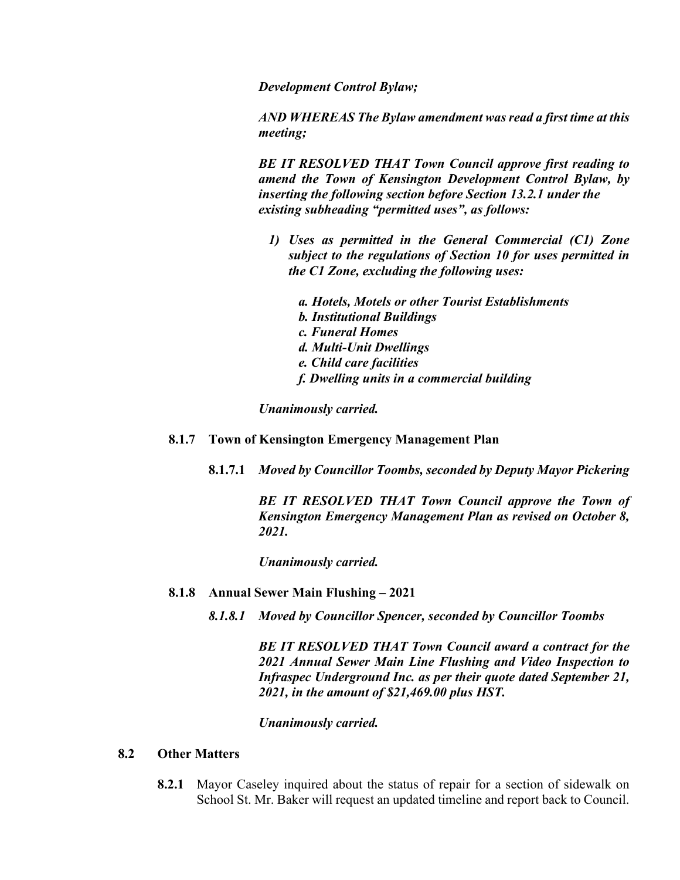*Development Control Bylaw;*

*AND WHEREAS The Bylaw amendment was read a first time at this meeting;*

*BE IT RESOLVED THAT Town Council approve first reading to amend the Town of Kensington Development Control Bylaw, by inserting the following section before Section 13.2.1 under the existing subheading "permitted uses", as follows:*

- *1) Uses as permitted in the General Commercial (C1) Zone subject to the regulations of Section 10 for uses permitted in the C1 Zone, excluding the following uses:*
	- *a. Hotels, Motels or other Tourist Establishments b. Institutional Buildings c. Funeral Homes d. Multi-Unit Dwellings e. Child care facilities f. Dwelling units in a commercial building*

*Unanimously carried.*

- **8.1.7 Town of Kensington Emergency Management Plan**
	- **8.1.7.1** *Moved by Councillor Toombs, seconded by Deputy Mayor Pickering*

*BE IT RESOLVED THAT Town Council approve the Town of Kensington Emergency Management Plan as revised on October 8, 2021.*

*Unanimously carried.*

- **8.1.8 Annual Sewer Main Flushing – 2021**
	- *8.1.8.1 Moved by Councillor Spencer, seconded by Councillor Toombs*

*BE IT RESOLVED THAT Town Council award a contract for the 2021 Annual Sewer Main Line Flushing and Video Inspection to Infraspec Underground Inc. as per their quote dated September 21, 2021, in the amount of \$21,469.00 plus HST.*

*Unanimously carried.* 

#### **8.2 Other Matters**

**8.2.1** Mayor Caseley inquired about the status of repair for a section of sidewalk on School St. Mr. Baker will request an updated timeline and report back to Council.